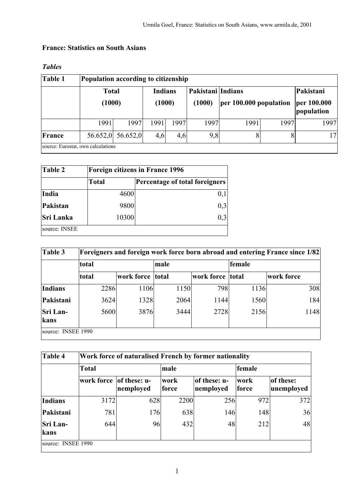## **France: Statistics on South Asians**

| Table 1 | Population according to citizenship |                   |                |        |                   |                        |      |                           |  |  |
|---------|-------------------------------------|-------------------|----------------|--------|-------------------|------------------------|------|---------------------------|--|--|
|         | <b>Total</b>                        |                   | <b>Indians</b> |        | Pakistani Indians |                        |      | Pakistani                 |  |  |
|         |                                     | (1000)            |                | (1000) | (1000)            | per 100.000 population |      | per 100.000<br>population |  |  |
|         | 1991                                | 1997              | 1991           | 1997   | 1997              | 1991                   | 1997 | 1997                      |  |  |
| France  |                                     | 56.652,0 56.652,0 | 4,6            | 4,6    | 9,8               | 8                      |      | 17                        |  |  |
|         | source: Eurostat, own calculations  |                   |                |        |                   |                        |      |                           |  |  |

## *Tables*

| Table 2          | <b>Foreign citizens in France 1996</b> |                                |  |  |  |
|------------------|----------------------------------------|--------------------------------|--|--|--|
|                  | <b>Total</b>                           | Percentage of total foreigners |  |  |  |
| India            | 4600                                   |                                |  |  |  |
| <b>Pakistan</b>  | 9800                                   | 0,3                            |  |  |  |
| <b>Sri Lanka</b> | 10300                                  |                                |  |  |  |
| source: INSEE    |                                        |                                |  |  |  |

| Table 3                 | <b>Foreigners and foreign work force born abroad and entering France since 1/82</b> |      |                  |      |                  |        |            |  |  |
|-------------------------|-------------------------------------------------------------------------------------|------|------------------|------|------------------|--------|------------|--|--|
|                         | total                                                                               |      |                  | male |                  | female |            |  |  |
|                         | total                                                                               |      | work force total |      | work force total |        | work force |  |  |
| <b>Indians</b>          |                                                                                     | 2286 | 1106             | 1150 | 798              | 1136   | 308        |  |  |
| Pakistani               |                                                                                     | 3624 | 1328             | 2064 | 1144             | 1560   | 184        |  |  |
| <b>Sri Lan-</b><br>kans |                                                                                     | 5600 | 3876             | 3444 | 2728             | 2156   | 1148       |  |  |
| source: INSEE 1990      |                                                                                     |      |                  |      |                  |        |            |  |  |

| Work force of naturalised French by former nationality |           |                      |                           |                             |                         |  |  |  |
|--------------------------------------------------------|-----------|----------------------|---------------------------|-----------------------------|-------------------------|--|--|--|
| Total                                                  |           | male                 |                           | female                      |                         |  |  |  |
| work force                                             | nemployed | work                 | nemployed                 | work                        | of these:<br>unemployed |  |  |  |
|                                                        |           |                      |                           | 972                         | 372                     |  |  |  |
| 781                                                    |           |                      |                           | 148                         | 36                      |  |  |  |
| 644                                                    |           | 432                  | 48                        | 212                         | 48                      |  |  |  |
|                                                        |           | of these: u-<br>3172 | force<br>628<br>176<br>96 | of these: u-<br>2200<br>638 | force<br>256<br>146     |  |  |  |